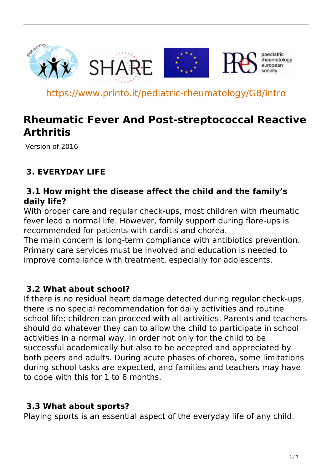

https://www.printo.it/pediatric-rheumatology/GB/intro

# **Rheumatic Fever And Post-streptococcal Reactive Arthritis**

Version of 2016

# **3. EVERYDAY LIFE**

#### **3.1 How might the disease affect the child and the family's daily life?**

With proper care and regular check-ups, most children with rheumatic fever lead a normal life. However, family support during flare-ups is recommended for patients with carditis and chorea.

The main concern is long-term compliance with antibiotics prevention. Primary care services must be involved and education is needed to improve compliance with treatment, especially for adolescents.

## **3.2 What about school?**

If there is no residual heart damage detected during regular check-ups, there is no special recommendation for daily activities and routine school life; children can proceed with all activities. Parents and teachers should do whatever they can to allow the child to participate in school activities in a normal way, in order not only for the child to be successful academically but also to be accepted and appreciated by both peers and adults. During acute phases of chorea, some limitations during school tasks are expected, and families and teachers may have to cope with this for 1 to 6 months.

#### **3.3 What about sports?**

Playing sports is an essential aspect of the everyday life of any child.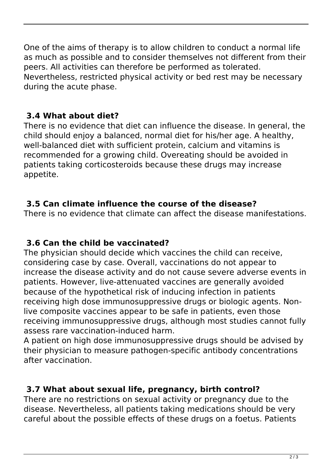One of the aims of therapy is to allow children to conduct a normal life as much as possible and to consider themselves not different from their peers. All activities can therefore be performed as tolerated. Nevertheless, restricted physical activity or bed rest may be necessary during the acute phase.

## **3.4 What about diet?**

There is no evidence that diet can influence the disease. In general, the child should enjoy a balanced, normal diet for his/her age. A healthy, well-balanced diet with sufficient protein, calcium and vitamins is recommended for a growing child. Overeating should be avoided in patients taking corticosteroids because these drugs may increase appetite.

# **3.5 Can climate influence the course of the disease?**

There is no evidence that climate can affect the disease manifestations.

## **3.6 Can the child be vaccinated?**

The physician should decide which vaccines the child can receive, considering case by case. Overall, vaccinations do not appear to increase the disease activity and do not cause severe adverse events in patients. However, live-attenuated vaccines are generally avoided because of the hypothetical risk of inducing infection in patients receiving high dose immunosuppressive drugs or biologic agents. Nonlive composite vaccines appear to be safe in patients, even those receiving immunosuppressive drugs, although most studies cannot fully assess rare vaccination-induced harm.

A patient on high dose immunosuppressive drugs should be advised by their physician to measure pathogen-specific antibody concentrations after vaccination.

# **3.7 What about sexual life, pregnancy, birth control?**

There are no restrictions on sexual activity or pregnancy due to the disease. Nevertheless, all patients taking medications should be very careful about the possible effects of these drugs on a foetus. Patients